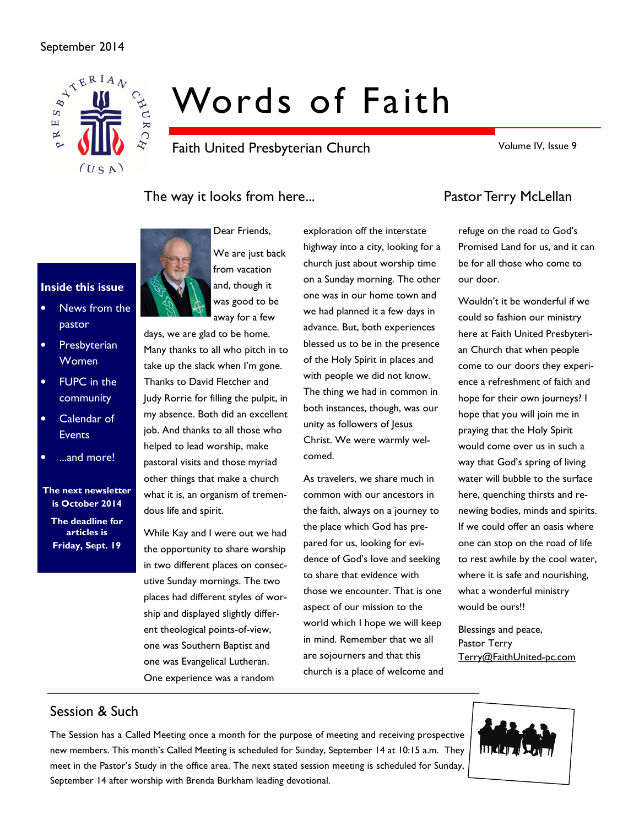### September 2014



Inside this issue

pastor

• Presbyterian Women

• FUPC in the community Calendar of **Events** 

• ...and more!

The next newsletter is October 2014 The deadline for articles is Friday, Sept. 19

News from the

# Words of Faith

Faith United Presbyterian Church

Volume IV, Issue 9

# The way it looks from here... The way it looks from here...



Dear Friends, We are just back from vacation and, though it was good to be away for a few

days, we are glad to be home. Many thanks to all who pitch in to take up the slack when I'm gone. Thanks to David Fletcher and Judy Rorrie for filling the pulpit, in my absence. Both did an excellent job. And thanks to all those who helped to lead worship, make pastoral visits and those myriad other things that make a church what it is, an organism of tremendous life and spirit.

While Kay and I were out we had the opportunity to share worship in two different places on consecutive Sunday mornings. The two places had different styles of worship and displayed slightly different theological points-of-view, one was Southern Baptist and one was Evangelical Lutheran. One experience was a random

exploration off the interstate highway into a city, looking for a church just about worship time on a Sunday morning. The other one was in our home town and we had planned it a few days in advance. But, both experiences blessed us to be in the presence of the Holy Spirit in places and with people we did not know. The thing we had in common in both instances, though, was our unity as followers of Jesus Christ. We were warmly welcomed.

As travelers, we share much in common with our ancestors in the faith, always on a journey to the place which God has prepared for us, looking for evidence of God's love and seeking to share that evidence with those we encounter. That is one aspect of our mission to the world which I hope we will keep in mind. Remember that we all are sojourners and that this church is a place of welcome and

refuge on the road to God's Promised Land for us, and it can be for all those who come to our door.

Wouldn't it be wonderful if we could so fashion our ministry here at Faith United Presbyterian Church that when people come to our doors they experience a refreshment of faith and hope for their own journeys? I hope that you will join me in praying that the Holy Spirit would come over us in such a way that God's spring of living water will bubble to the surface here, quenching thirsts and renewing bodies, minds and spirits. If we could offer an oasis where one can stop on the road of life to rest awhile by the cool water, where it is safe and nourishing, what a wonderful ministry would be ours!!

Blessings and peace, Pastor Terry Terry@FaithUnited-pc.com

# Session & Such

The Session has a Called Meeting once a month for the purpose of meeting and receiving prospective new members. This month's Called Meeting is scheduled for Sunday, September 14 at 10:15 a.m. They meet in the Pastor's Study in the office area. The next stated session meeting is scheduled for Sunday, September 14 after worship with Brenda Burkham leading devotional.

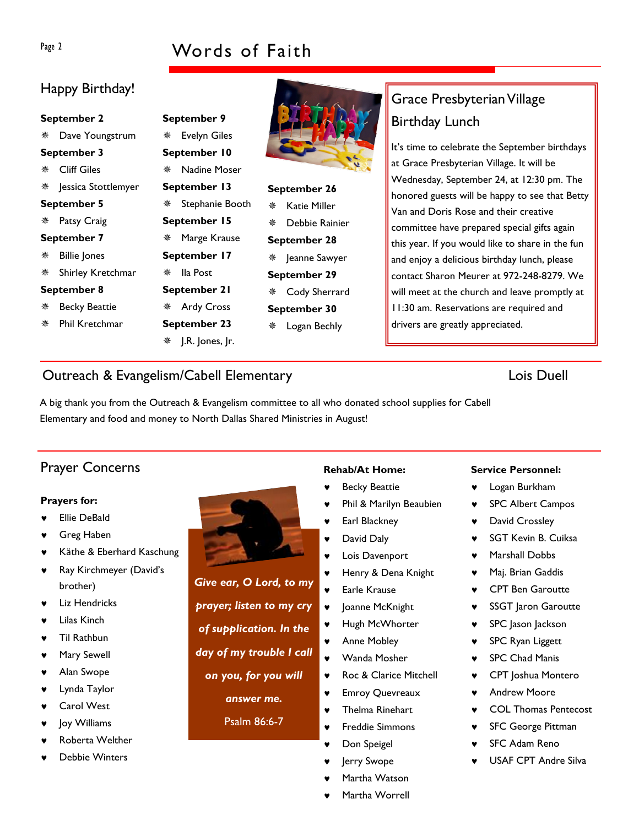# Page 2 Words of Faith

# Happy Birthday!

| September 2                      | September 9            |                     |  |
|----------------------------------|------------------------|---------------------|--|
| Dave Youngstrum<br>※ -           | <b>Evelyn Giles</b>    |                     |  |
| September 3                      | September 10           |                     |  |
| <b>Cliff Giles</b><br>榮          | Nadine Moser<br>楽      |                     |  |
| <sup>※</sup> Jessica Stottlemyer | September 13           | September 26        |  |
| <b>September 5</b>               | Stephanie Booth<br>豢   | Katie Miller<br>漈   |  |
| Patsy Craig<br>脊.                | September 15           | Debbie Rainier<br>翭 |  |
| September 7                      | Marge Krause<br>楽      | September 28        |  |
| <b>Billie Jones</b><br>脊.        | September 17           | ※ Jeanne Sawyer     |  |
| Shirley Kretchmar                | lla Post<br>鮝          | September 29        |  |
| September 8<br>September 21      |                        | Cody Sherrard<br>楽  |  |
| 脊<br><b>Becky Beattie</b>        | <b>Ardy Cross</b><br>豢 | September 30        |  |
| Phil Kretchmar<br>豢              | September 23           | Logan Bechly<br>楽   |  |
|                                  | ما ممدد ۱.۲۵ تلا       |                     |  |

# Grace Presbyterian Village Birthday Lunch

It's time to celebrate the September birthdays at Grace Presbyterian Village. It will be Wednesday, September 24, at 12:30 pm. The honored guests will be happy to see that Betty Van and Doris Rose and their creative committee have prepared special gifts again this year. If you would like to share in the fun and enjoy a delicious birthday lunch, please contact Sharon Meurer at 972-248-8279. We will meet at the church and leave promptly at 11:30 am. Reservations are required and drivers are greatly appreciated.

# Outreach & Evangelism/Cabell Elementary Lois Duell

A big thank you from the Outreach & Evangelism committee to all who donated school supplies for Cabell Elementary and food and money to North Dallas Shared Ministries in August!

# Prayer Concerns **Rehab/At Home:**

### Prayers for:

- **Ellie DeBald**
- Greg Haben
- Käthe & Eberhard Kaschung
- ♥ Ray Kirchmeyer (David's brother)
- Liz Hendricks
- Lilas Kinch
- Til Rathbun
- Mary Sewell
- Alan Swope
- Lynda Taylor
- **Carol West**
- Joy Williams
- Roberta Welther
- Debbie Winters



Give ear, O Lord, to my prayer; listen to my cry of supplication. In the day of my trouble I call on you, for you will answer me. Psalm 86:6-7

- **Becky Beattie**
- Phil & Marilyn Beaubien
- Earl Blackney
- ♥ David Daly
- Lois Davenport
- ♥ Henry & Dena Knight
- ♥ Earle Krause
- ♥ Joanne McKnight
- ♥ Hugh McWhorter
- ♥ Anne Mobley
- ♥ Wanda Mosher
- ♥ Roc & Clarice Mitchell
- ♥ Emroy Quevreaux
- Thelma Rinehart
- **Freddie Simmons**
- Don Speigel
- Jerry Swope
- Martha Watson
- Martha Worrell

### Service Personnel:

- Logan Burkham
- ♥ SPC Albert Campos
- ♥ David Crossley
- SGT Kevin B. Cuiksa
- ♥ Marshall Dobbs
- Maj. Brian Gaddis
- ♥ CPT Ben Garoutte
- **SSGT** Jaron Garoutte
- ♥ SPC Jason Jackson
- SPC Ryan Liggett
- **SPC Chad Manis**
- ♥ CPT Joshua Montero
- ♥ Andrew Moore
- ♥ COL Thomas Pentecost
- **SFC George Pittman**
- **SFC Adam Reno**
- USAF CPT Andre Silva

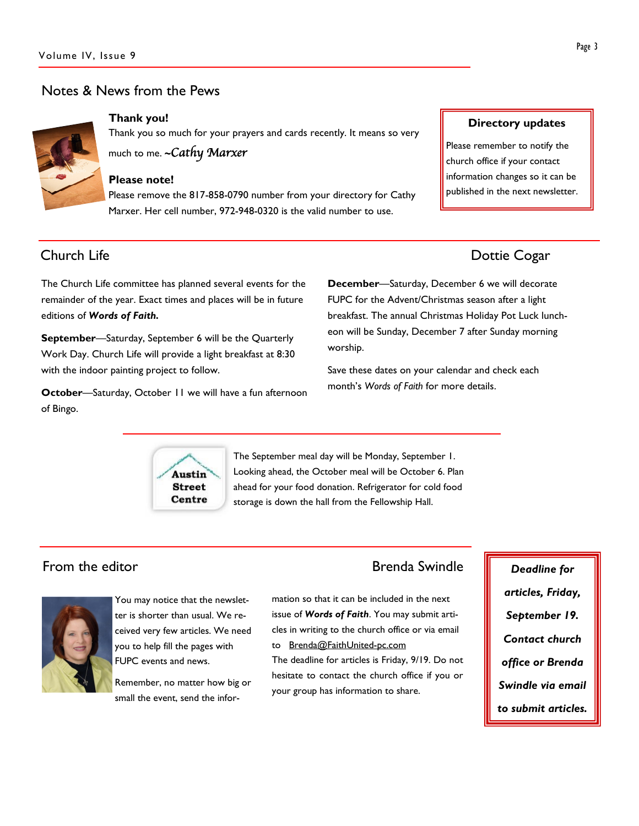## Notes & News from the Pews



Thank you!

Thank you so much for your prayers and cards recently. It means so very

much to me. ~ Cathy Marxer

### Please note!

Please remove the 817-858-0790 number from your directory for Cathy Marxer. Her cell number, 972-948-0320 is the valid number to use.

The Church Life committee has planned several events for the remainder of the year. Exact times and places will be in future editions of Words of Faith.

September—Saturday, September 6 will be the Quarterly Work Day. Church Life will provide a light breakfast at 8:30 with the indoor painting project to follow.

October—Saturday, October 11 we will have a fun afternoon of Bingo.

Directory updates

Please remember to notify the church office if your contact information changes so it can be published in the next newsletter.

# **Church Life** Dottie Cogar

December—Saturday, December 6 we will decorate FUPC for the Advent/Christmas season after a light breakfast. The annual Christmas Holiday Pot Luck luncheon will be Sunday, December 7 after Sunday morning worship.

Save these dates on your calendar and check each month's Words of Faith for more details.



The September meal day will be Monday, September 1. Looking ahead, the October meal will be October 6. Plan ahead for your food donation. Refrigerator for cold food storage is down the hall from the Fellowship Hall.

# From the editor **Brenda Swindle** Deadline for



You may notice that the newsletter is shorter than usual. We received very few articles. We need you to help fill the pages with FUPC events and news.

Remember, no matter how big or small the event, send the infor-

mation so that it can be included in the next issue of Words of Faith. You may submit articles in writing to the church office or via email to Brenda@FaithUnited-pc.com

The deadline for articles is Friday, 9/19. Do not hesitate to contact the church office if you or your group has information to share.

articles, Friday, September 19. Contact church office or Brenda Swindle via email to submit articles.